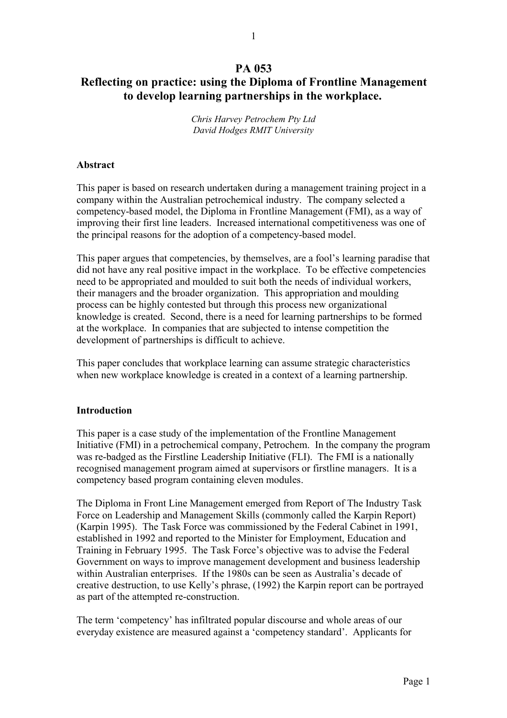# **PA 053 Reflecting on practice: using the Diploma of Frontline Management to develop learning partnerships in the workplace.**

*Chris Harvey Petrochem Pty Ltd David Hodges RMIT University*

### **Abstract**

This paper is based on research undertaken during a management training project in a company within the Australian petrochemical industry. The company selected a competency-based model, the Diploma in Frontline Management (FMI), as a way of improving their first line leaders. Increased international competitiveness was one of the principal reasons for the adoption of a competency-based model.

This paper argues that competencies, by themselves, are a fool's learning paradise that did not have any real positive impact in the workplace. To be effective competencies need to be appropriated and moulded to suit both the needs of individual workers, their managers and the broader organization. This appropriation and moulding process can be highly contested but through this process new organizational knowledge is created. Second, there is a need for learning partnerships to be formed at the workplace. In companies that are subjected to intense competition the development of partnerships is difficult to achieve.

This paper concludes that workplace learning can assume strategic characteristics when new workplace knowledge is created in a context of a learning partnership.

### **Introduction**

This paper is a case study of the implementation of the Frontline Management Initiative (FMI) in a petrochemical company, Petrochem. In the company the program was re-badged as the Firstline Leadership Initiative (FLI). The FMI is a nationally recognised management program aimed at supervisors or firstline managers. It is a competency based program containing eleven modules.

The Diploma in Front Line Management emerged from Report of The Industry Task Force on Leadership and Management Skills (commonly called the Karpin Report) (Karpin 1995). The Task Force was commissioned by the Federal Cabinet in 1991, established in 1992 and reported to the Minister for Employment, Education and Training in February 1995. The Task Force's objective was to advise the Federal Government on ways to improve management development and business leadership within Australian enterprises. If the 1980s can be seen as Australia's decade of creative destruction, to use Kelly's phrase, (1992) the Karpin report can be portrayed as part of the attempted re-construction.

The term 'competency' has infiltrated popular discourse and whole areas of our everyday existence are measured against a 'competency standard'. Applicants for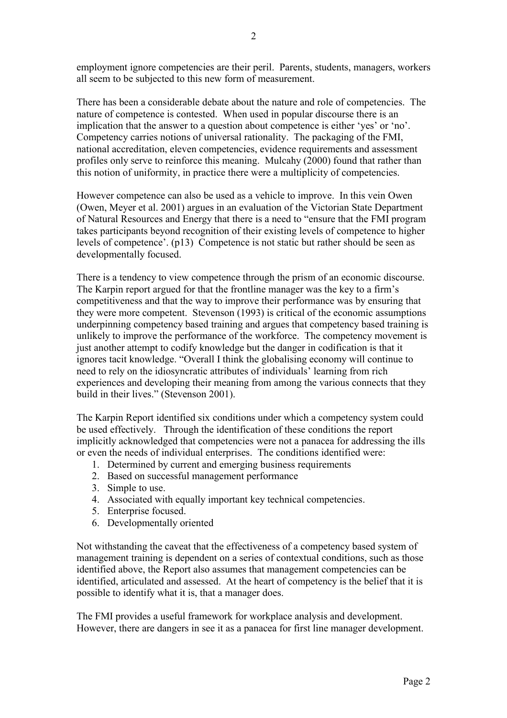employment ignore competencies are their peril. Parents, students, managers, workers all seem to be subjected to this new form of measurement.

There has been a considerable debate about the nature and role of competencies. The nature of competence is contested. When used in popular discourse there is an implication that the answer to a question about competence is either 'yes' or 'no'. Competency carries notions of universal rationality. The packaging of the FMI, national accreditation, eleven competencies, evidence requirements and assessment profiles only serve to reinforce this meaning. Mulcahy (2000) found that rather than this notion of uniformity, in practice there were a multiplicity of competencies.

However competence can also be used as a vehicle to improve. In this vein Owen (Owen, Meyer et al. 2001) argues in an evaluation of the Victorian State Department of Natural Resources and Energy that there is a need to "ensure that the FMI program takes participants beyond recognition of their existing levels of competence to higher levels of competence'. (p13) Competence is not static but rather should be seen as developmentally focused.

There is a tendency to view competence through the prism of an economic discourse. The Karpin report argued for that the frontline manager was the key to a firm's competitiveness and that the way to improve their performance was by ensuring that they were more competent. Stevenson (1993) is critical of the economic assumptions underpinning competency based training and argues that competency based training is unlikely to improve the performance of the workforce. The competency movement is just another attempt to codify knowledge but the danger in codification is that it ignores tacit knowledge. "Overall I think the globalising economy will continue to need to rely on the idiosyncratic attributes of individuals' learning from rich experiences and developing their meaning from among the various connects that they build in their lives." (Stevenson 2001).

The Karpin Report identified six conditions under which a competency system could be used effectively. Through the identification of these conditions the report implicitly acknowledged that competencies were not a panacea for addressing the ills or even the needs of individual enterprises. The conditions identified were:

- 1. Determined by current and emerging business requirements
- 2. Based on successful management performance
- 3. Simple to use.
- 4. Associated with equally important key technical competencies.
- 5. Enterprise focused.
- 6. Developmentally oriented

Not withstanding the caveat that the effectiveness of a competency based system of management training is dependent on a series of contextual conditions, such as those identified above, the Report also assumes that management competencies can be identified, articulated and assessed. At the heart of competency is the belief that it is possible to identify what it is, that a manager does.

The FMI provides a useful framework for workplace analysis and development. However, there are dangers in see it as a panacea for first line manager development.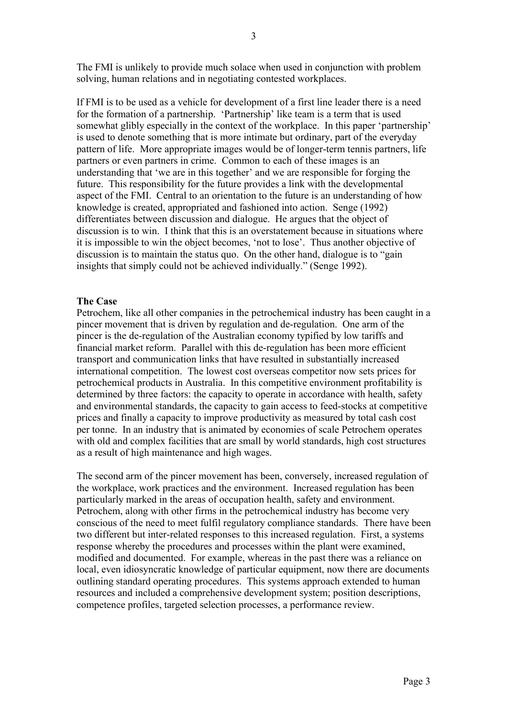The FMI is unlikely to provide much solace when used in conjunction with problem solving, human relations and in negotiating contested workplaces.

If FMI is to be used as a vehicle for development of a first line leader there is a need for the formation of a partnership. 'Partnership' like team is a term that is used somewhat glibly especially in the context of the workplace. In this paper 'partnership' is used to denote something that is more intimate but ordinary, part of the everyday pattern of life. More appropriate images would be of longer-term tennis partners, life partners or even partners in crime. Common to each of these images is an understanding that 'we are in this together' and we are responsible for forging the future. This responsibility for the future provides a link with the developmental aspect of the FMI. Central to an orientation to the future is an understanding of how knowledge is created, appropriated and fashioned into action. Senge (1992) differentiates between discussion and dialogue. He argues that the object of discussion is to win. I think that this is an overstatement because in situations where it is impossible to win the object becomes, 'not to lose'. Thus another objective of discussion is to maintain the status quo. On the other hand, dialogue is to "gain insights that simply could not be achieved individually." (Senge 1992).

#### **The Case**

Petrochem, like all other companies in the petrochemical industry has been caught in a pincer movement that is driven by regulation and de-regulation. One arm of the pincer is the de-regulation of the Australian economy typified by low tariffs and financial market reform. Parallel with this de-regulation has been more efficient transport and communication links that have resulted in substantially increased international competition. The lowest cost overseas competitor now sets prices for petrochemical products in Australia. In this competitive environment profitability is determined by three factors: the capacity to operate in accordance with health, safety and environmental standards, the capacity to gain access to feed-stocks at competitive prices and finally a capacity to improve productivity as measured by total cash cost per tonne. In an industry that is animated by economies of scale Petrochem operates with old and complex facilities that are small by world standards, high cost structures as a result of high maintenance and high wages.

The second arm of the pincer movement has been, conversely, increased regulation of the workplace, work practices and the environment. Increased regulation has been particularly marked in the areas of occupation health, safety and environment. Petrochem, along with other firms in the petrochemical industry has become very conscious of the need to meet fulfil regulatory compliance standards. There have been two different but inter-related responses to this increased regulation. First, a systems response whereby the procedures and processes within the plant were examined, modified and documented. For example, whereas in the past there was a reliance on local, even idiosyncratic knowledge of particular equipment, now there are documents outlining standard operating procedures. This systems approach extended to human resources and included a comprehensive development system; position descriptions, competence profiles, targeted selection processes, a performance review.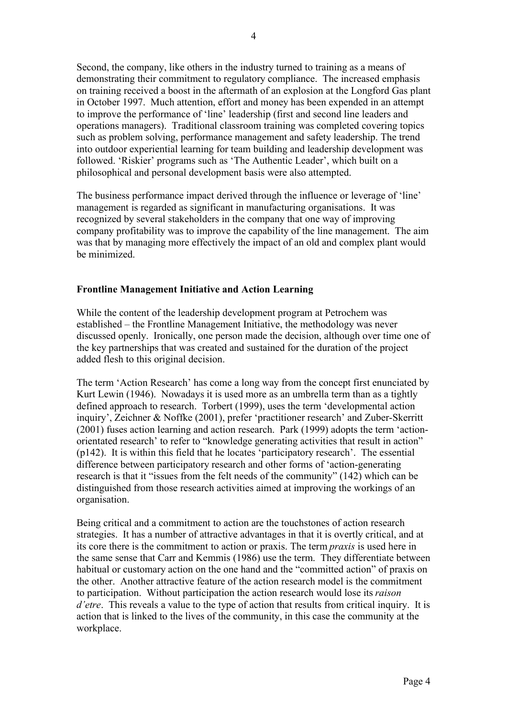Second, the company, like others in the industry turned to training as a means of demonstrating their commitment to regulatory compliance. The increased emphasis on training received a boost in the aftermath of an explosion at the Longford Gas plant in October 1997. Much attention, effort and money has been expended in an attempt to improve the performance of 'line' leadership (first and second line leaders and operations managers). Traditional classroom training was completed covering topics such as problem solving, performance management and safety leadership. The trend into outdoor experiential learning for team building and leadership development was followed. 'Riskier' programs such as 'The Authentic Leader', which built on a philosophical and personal development basis were also attempted.

The business performance impact derived through the influence or leverage of 'line' management is regarded as significant in manufacturing organisations. It was recognized by several stakeholders in the company that one way of improving company profitability was to improve the capability of the line management. The aim was that by managing more effectively the impact of an old and complex plant would be minimized.

### **Frontline Management Initiative and Action Learning**

While the content of the leadership development program at Petrochem was established – the Frontline Management Initiative, the methodology was never discussed openly. Ironically, one person made the decision, although over time one of the key partnerships that was created and sustained for the duration of the project added flesh to this original decision.

The term 'Action Research' has come a long way from the concept first enunciated by Kurt Lewin (1946). Nowadays it is used more as an umbrella term than as a tightly defined approach to research. Torbert (1999), uses the term 'developmental action inquiry', Zeichner & Noffke (2001), prefer 'practitioner research' and Zuber-Skerritt (2001) fuses action learning and action research. Park (1999) adopts the term 'actionorientated research' to refer to "knowledge generating activities that result in action" (p142). It is within this field that he locates 'participatory research'. The essential difference between participatory research and other forms of 'action-generating research is that it "issues from the felt needs of the community" (142) which can be distinguished from those research activities aimed at improving the workings of an organisation.

Being critical and a commitment to action are the touchstones of action research strategies. It has a number of attractive advantages in that it is overtly critical, and at its core there is the commitment to action or praxis. The term *praxis* is used here in the same sense that Carr and Kemmis (1986) use the term. They differentiate between habitual or customary action on the one hand and the "committed action" of praxis on the other. Another attractive feature of the action research model is the commitment to participation. Without participation the action research would lose its *raison d'etre*. This reveals a value to the type of action that results from critical inquiry. It is action that is linked to the lives of the community, in this case the community at the workplace.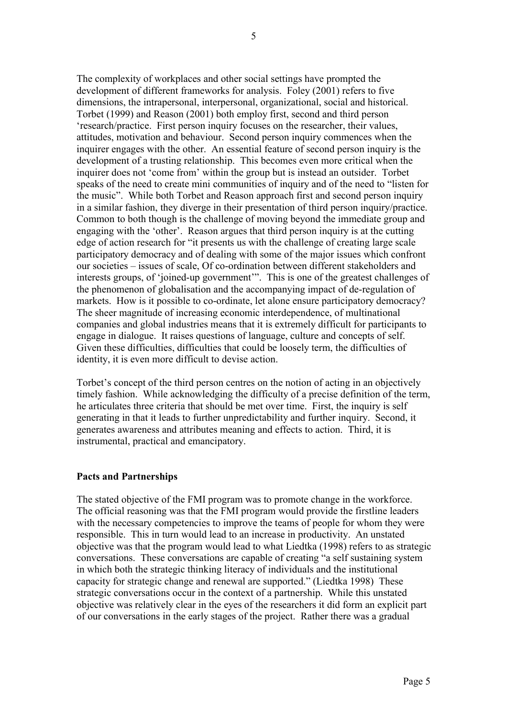The complexity of workplaces and other social settings have prompted the development of different frameworks for analysis. Foley (2001) refers to five dimensions, the intrapersonal, interpersonal, organizational, social and historical. Torbet (1999) and Reason (2001) both employ first, second and third person 'research/practice. First person inquiry focuses on the researcher, their values, attitudes, motivation and behaviour. Second person inquiry commences when the inquirer engages with the other. An essential feature of second person inquiry is the development of a trusting relationship. This becomes even more critical when the inquirer does not 'come from' within the group but is instead an outsider. Torbet speaks of the need to create mini communities of inquiry and of the need to "listen for the music". While both Torbet and Reason approach first and second person inquiry in a similar fashion, they diverge in their presentation of third person inquiry/practice. Common to both though is the challenge of moving beyond the immediate group and engaging with the 'other'. Reason argues that third person inquiry is at the cutting edge of action research for "it presents us with the challenge of creating large scale participatory democracy and of dealing with some of the major issues which confront our societies – issues of scale, Of co-ordination between different stakeholders and interests groups, of 'joined-up government'". This is one of the greatest challenges of the phenomenon of globalisation and the accompanying impact of de-regulation of markets. How is it possible to co-ordinate, let alone ensure participatory democracy? The sheer magnitude of increasing economic interdependence, of multinational companies and global industries means that it is extremely difficult for participants to engage in dialogue. It raises questions of language, culture and concepts of self. Given these difficulties, difficulties that could be loosely term, the difficulties of identity, it is even more difficult to devise action.

Torbet's concept of the third person centres on the notion of acting in an objectively timely fashion. While acknowledging the difficulty of a precise definition of the term, he articulates three criteria that should be met over time. First, the inquiry is self generating in that it leads to further unpredictability and further inquiry. Second, it generates awareness and attributes meaning and effects to action. Third, it is instrumental, practical and emancipatory.

## **Pacts and Partnerships**

The stated objective of the FMI program was to promote change in the workforce. The official reasoning was that the FMI program would provide the firstline leaders with the necessary competencies to improve the teams of people for whom they were responsible. This in turn would lead to an increase in productivity. An unstated objective was that the program would lead to what Liedtka (1998) refers to as strategic conversations. These conversations are capable of creating "a self sustaining system in which both the strategic thinking literacy of individuals and the institutional capacity for strategic change and renewal are supported." (Liedtka 1998) These strategic conversations occur in the context of a partnership. While this unstated objective was relatively clear in the eyes of the researchers it did form an explicit part of our conversations in the early stages of the project. Rather there was a gradual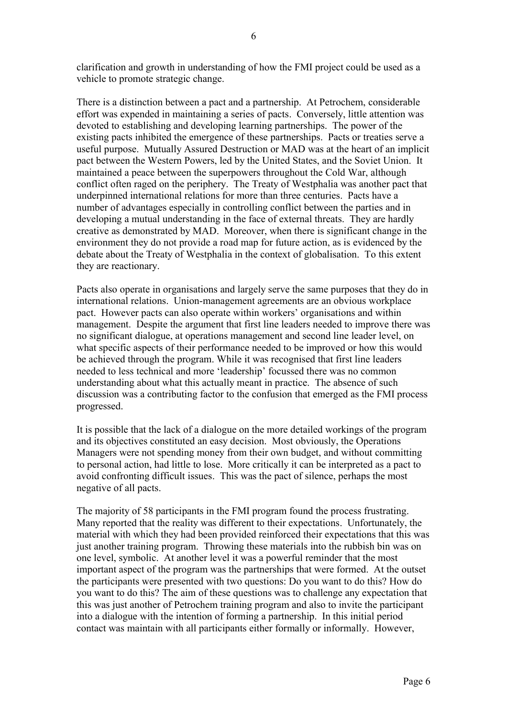clarification and growth in understanding of how the FMI project could be used as a vehicle to promote strategic change.

There is a distinction between a pact and a partnership. At Petrochem, considerable effort was expended in maintaining a series of pacts. Conversely, little attention was devoted to establishing and developing learning partnerships. The power of the existing pacts inhibited the emergence of these partnerships. Pacts or treaties serve a useful purpose. Mutually Assured Destruction or MAD was at the heart of an implicit pact between the Western Powers, led by the United States, and the Soviet Union. It maintained a peace between the superpowers throughout the Cold War, although conflict often raged on the periphery. The Treaty of Westphalia was another pact that underpinned international relations for more than three centuries. Pacts have a number of advantages especially in controlling conflict between the parties and in developing a mutual understanding in the face of external threats. They are hardly creative as demonstrated by MAD. Moreover, when there is significant change in the environment they do not provide a road map for future action, as is evidenced by the debate about the Treaty of Westphalia in the context of globalisation. To this extent they are reactionary.

Pacts also operate in organisations and largely serve the same purposes that they do in international relations. Union-management agreements are an obvious workplace pact. However pacts can also operate within workers' organisations and within management. Despite the argument that first line leaders needed to improve there was no significant dialogue, at operations management and second line leader level, on what specific aspects of their performance needed to be improved or how this would be achieved through the program. While it was recognised that first line leaders needed to less technical and more 'leadership' focussed there was no common understanding about what this actually meant in practice. The absence of such discussion was a contributing factor to the confusion that emerged as the FMI process progressed.

It is possible that the lack of a dialogue on the more detailed workings of the program and its objectives constituted an easy decision. Most obviously, the Operations Managers were not spending money from their own budget, and without committing to personal action, had little to lose. More critically it can be interpreted as a pact to avoid confronting difficult issues. This was the pact of silence, perhaps the most negative of all pacts.

The majority of 58 participants in the FMI program found the process frustrating. Many reported that the reality was different to their expectations. Unfortunately, the material with which they had been provided reinforced their expectations that this was just another training program. Throwing these materials into the rubbish bin was on one level, symbolic. At another level it was a powerful reminder that the most important aspect of the program was the partnerships that were formed. At the outset the participants were presented with two questions: Do you want to do this? How do you want to do this? The aim of these questions was to challenge any expectation that this was just another of Petrochem training program and also to invite the participant into a dialogue with the intention of forming a partnership. In this initial period contact was maintain with all participants either formally or informally. However,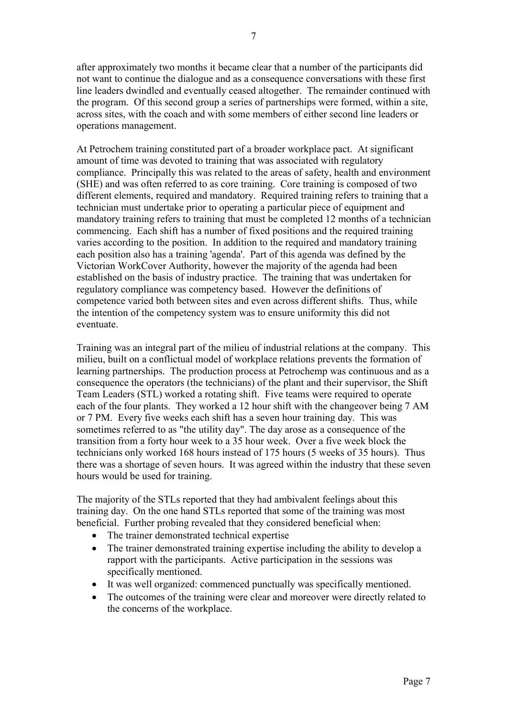after approximately two months it became clear that a number of the participants did not want to continue the dialogue and as a consequence conversations with these first line leaders dwindled and eventually ceased altogether. The remainder continued with the program. Of this second group a series of partnerships were formed, within a site, across sites, with the coach and with some members of either second line leaders or operations management.

At Petrochem training constituted part of a broader workplace pact. At significant amount of time was devoted to training that was associated with regulatory compliance. Principally this was related to the areas of safety, health and environment (SHE) and was often referred to as core training. Core training is composed of two different elements, required and mandatory. Required training refers to training that a technician must undertake prior to operating a particular piece of equipment and mandatory training refers to training that must be completed 12 months of a technician commencing. Each shift has a number of fixed positions and the required training varies according to the position. In addition to the required and mandatory training each position also has a training 'agenda'. Part of this agenda was defined by the Victorian WorkCover Authority, however the majority of the agenda had been established on the basis of industry practice. The training that was undertaken for regulatory compliance was competency based. However the definitions of competence varied both between sites and even across different shifts. Thus, while the intention of the competency system was to ensure uniformity this did not eventuate.

Training was an integral part of the milieu of industrial relations at the company. This milieu, built on a conflictual model of workplace relations prevents the formation of learning partnerships. The production process at Petrochemp was continuous and as a consequence the operators (the technicians) of the plant and their supervisor, the Shift Team Leaders (STL) worked a rotating shift. Five teams were required to operate each of the four plants. They worked a 12 hour shift with the changeover being 7 AM or 7 PM. Every five weeks each shift has a seven hour training day. This was sometimes referred to as "the utility day". The day arose as a consequence of the transition from a forty hour week to a 35 hour week. Over a five week block the technicians only worked 168 hours instead of 175 hours (5 weeks of 35 hours). Thus there was a shortage of seven hours. It was agreed within the industry that these seven hours would be used for training.

The majority of the STLs reported that they had ambivalent feelings about this training day. On the one hand STLs reported that some of the training was most beneficial. Further probing revealed that they considered beneficial when:

- The trainer demonstrated technical expertise
- The trainer demonstrated training expertise including the ability to develop a rapport with the participants. Active participation in the sessions was specifically mentioned.
- It was well organized: commenced punctually was specifically mentioned.
- The outcomes of the training were clear and moreover were directly related to the concerns of the workplace.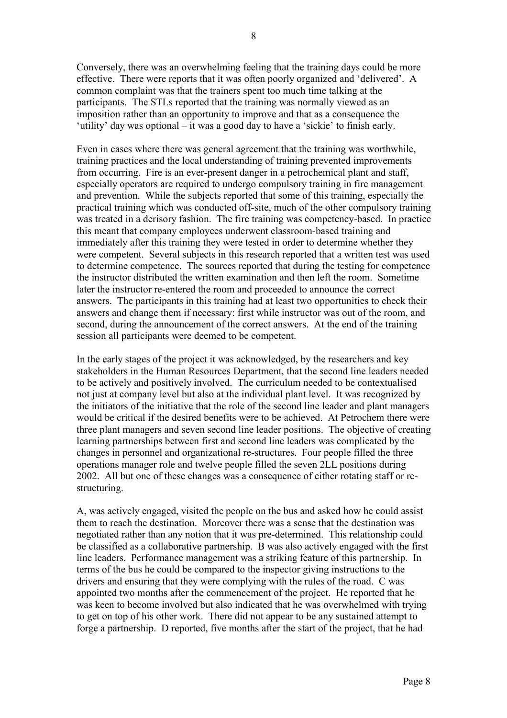Conversely, there was an overwhelming feeling that the training days could be more effective. There were reports that it was often poorly organized and 'delivered'. A common complaint was that the trainers spent too much time talking at the participants. The STLs reported that the training was normally viewed as an imposition rather than an opportunity to improve and that as a consequence the 'utility' day was optional – it was a good day to have a 'sickie' to finish early.

Even in cases where there was general agreement that the training was worthwhile, training practices and the local understanding of training prevented improvements from occurring. Fire is an ever-present danger in a petrochemical plant and staff, especially operators are required to undergo compulsory training in fire management and prevention. While the subjects reported that some of this training, especially the practical training which was conducted off-site, much of the other compulsory training was treated in a derisory fashion. The fire training was competency-based. In practice this meant that company employees underwent classroom-based training and immediately after this training they were tested in order to determine whether they were competent. Several subjects in this research reported that a written test was used to determine competence. The sources reported that during the testing for competence the instructor distributed the written examination and then left the room. Sometime later the instructor re-entered the room and proceeded to announce the correct answers. The participants in this training had at least two opportunities to check their answers and change them if necessary: first while instructor was out of the room, and second, during the announcement of the correct answers. At the end of the training session all participants were deemed to be competent.

In the early stages of the project it was acknowledged, by the researchers and key stakeholders in the Human Resources Department, that the second line leaders needed to be actively and positively involved. The curriculum needed to be contextualised not just at company level but also at the individual plant level. It was recognized by the initiators of the initiative that the role of the second line leader and plant managers would be critical if the desired benefits were to be achieved. At Petrochem there were three plant managers and seven second line leader positions. The objective of creating learning partnerships between first and second line leaders was complicated by the changes in personnel and organizational re-structures. Four people filled the three operations manager role and twelve people filled the seven 2LL positions during 2002. All but one of these changes was a consequence of either rotating staff or restructuring.

A, was actively engaged, visited the people on the bus and asked how he could assist them to reach the destination. Moreover there was a sense that the destination was negotiated rather than any notion that it was pre-determined. This relationship could be classified as a collaborative partnership. B was also actively engaged with the first line leaders. Performance management was a striking feature of this partnership. In terms of the bus he could be compared to the inspector giving instructions to the drivers and ensuring that they were complying with the rules of the road. C was appointed two months after the commencement of the project. He reported that he was keen to become involved but also indicated that he was overwhelmed with trying to get on top of his other work. There did not appear to be any sustained attempt to forge a partnership. D reported, five months after the start of the project, that he had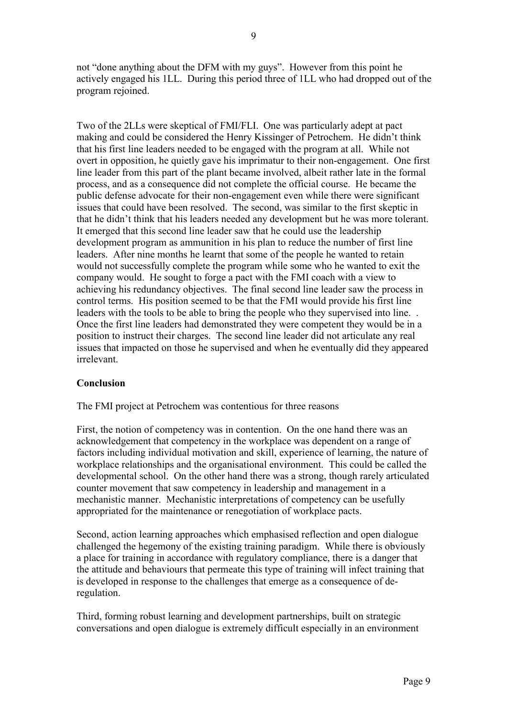not "done anything about the DFM with my guys". However from this point he actively engaged his 1LL. During this period three of 1LL who had dropped out of the program rejoined.

Two of the 2LLs were skeptical of FMI/FLI. One was particularly adept at pact making and could be considered the Henry Kissinger of Petrochem. He didn't think that his first line leaders needed to be engaged with the program at all. While not overt in opposition, he quietly gave his imprimatur to their non-engagement. One first line leader from this part of the plant became involved, albeit rather late in the formal process, and as a consequence did not complete the official course. He became the public defense advocate for their non-engagement even while there were significant issues that could have been resolved. The second, was similar to the first skeptic in that he didn't think that his leaders needed any development but he was more tolerant. It emerged that this second line leader saw that he could use the leadership development program as ammunition in his plan to reduce the number of first line leaders. After nine months he learnt that some of the people he wanted to retain would not successfully complete the program while some who he wanted to exit the company would. He sought to forge a pact with the FMI coach with a view to achieving his redundancy objectives. The final second line leader saw the process in control terms. His position seemed to be that the FMI would provide his first line leaders with the tools to be able to bring the people who they supervised into line. . Once the first line leaders had demonstrated they were competent they would be in a position to instruct their charges. The second line leader did not articulate any real issues that impacted on those he supervised and when he eventually did they appeared irrelevant.

### **Conclusion**

The FMI project at Petrochem was contentious for three reasons

First, the notion of competency was in contention. On the one hand there was an acknowledgement that competency in the workplace was dependent on a range of factors including individual motivation and skill, experience of learning, the nature of workplace relationships and the organisational environment. This could be called the developmental school. On the other hand there was a strong, though rarely articulated counter movement that saw competency in leadership and management in a mechanistic manner. Mechanistic interpretations of competency can be usefully appropriated for the maintenance or renegotiation of workplace pacts.

Second, action learning approaches which emphasised reflection and open dialogue challenged the hegemony of the existing training paradigm. While there is obviously a place for training in accordance with regulatory compliance, there is a danger that the attitude and behaviours that permeate this type of training will infect training that is developed in response to the challenges that emerge as a consequence of deregulation.

Third, forming robust learning and development partnerships, built on strategic conversations and open dialogue is extremely difficult especially in an environment